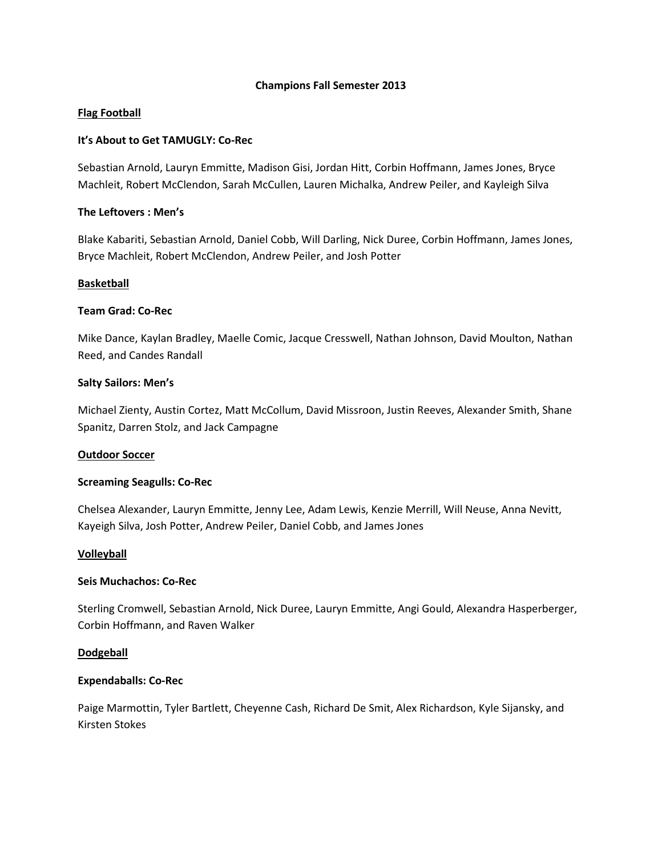### **Champions Fall Semester 2013**

## **Flag Football**

### **It's About to Get TAMUGLY: Co-Rec**

Sebastian Arnold, Lauryn Emmitte, Madison Gisi, Jordan Hitt, Corbin Hoffmann, James Jones, Bryce Machleit, Robert McClendon, Sarah McCullen, Lauren Michalka, Andrew Peiler, and Kayleigh Silva

### **The Leftovers : Men's**

Blake Kabariti, Sebastian Arnold, Daniel Cobb, Will Darling, Nick Duree, Corbin Hoffmann, James Jones, Bryce Machleit, Robert McClendon, Andrew Peiler, and Josh Potter

### **Basketball**

### **Team Grad: Co-Rec**

Mike Dance, Kaylan Bradley, Maelle Comic, Jacque Cresswell, Nathan Johnson, David Moulton, Nathan Reed, and Candes Randall

### **Salty Sailors: Men's**

Michael Zienty, Austin Cortez, Matt McCollum, David Missroon, Justin Reeves, Alexander Smith, Shane Spanitz, Darren Stolz, and Jack Campagne

#### **Outdoor Soccer**

#### **Screaming Seagulls: Co-Rec**

Chelsea Alexander, Lauryn Emmitte, Jenny Lee, Adam Lewis, Kenzie Merrill, Will Neuse, Anna Nevitt, Kayeigh Silva, Josh Potter, Andrew Peiler, Daniel Cobb, and James Jones

#### **Volleyball**

#### **Seis Muchachos: Co-Rec**

Sterling Cromwell, Sebastian Arnold, Nick Duree, Lauryn Emmitte, Angi Gould, Alexandra Hasperberger, Corbin Hoffmann, and Raven Walker

#### **Dodgeball**

#### **Expendaballs: Co-Rec**

Paige Marmottin, Tyler Bartlett, Cheyenne Cash, Richard De Smit, Alex Richardson, Kyle Sijansky, and Kirsten Stokes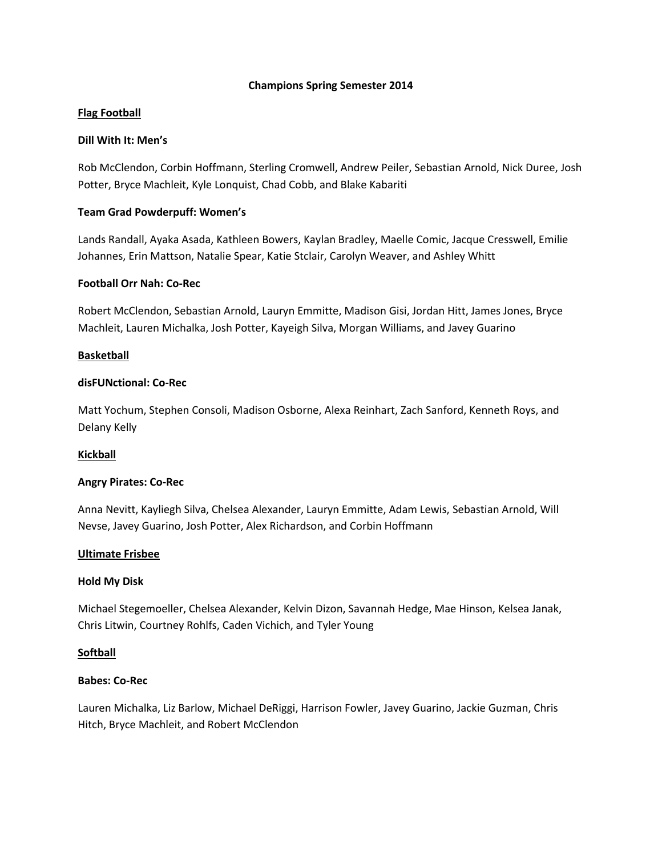### **Champions Spring Semester 2014**

# **Flag Football**

# **Dill With It: Men's**

Rob McClendon, Corbin Hoffmann, Sterling Cromwell, Andrew Peiler, Sebastian Arnold, Nick Duree, Josh Potter, Bryce Machleit, Kyle Lonquist, Chad Cobb, and Blake Kabariti

# **Team Grad Powderpuff: Women's**

Lands Randall, Ayaka Asada, Kathleen Bowers, Kaylan Bradley, Maelle Comic, Jacque Cresswell, Emilie Johannes, Erin Mattson, Natalie Spear, Katie Stclair, Carolyn Weaver, and Ashley Whitt

# **Football Orr Nah: Co-Rec**

Robert McClendon, Sebastian Arnold, Lauryn Emmitte, Madison Gisi, Jordan Hitt, James Jones, Bryce Machleit, Lauren Michalka, Josh Potter, Kayeigh Silva, Morgan Williams, and Javey Guarino

# **Basketball**

# **disFUNctional: Co-Rec**

Matt Yochum, Stephen Consoli, Madison Osborne, Alexa Reinhart, Zach Sanford, Kenneth Roys, and Delany Kelly

# **Kickball**

# **Angry Pirates: Co-Rec**

Anna Nevitt, Kayliegh Silva, Chelsea Alexander, Lauryn Emmitte, Adam Lewis, Sebastian Arnold, Will Nevse, Javey Guarino, Josh Potter, Alex Richardson, and Corbin Hoffmann

# **Ultimate Frisbee**

# **Hold My Disk**

Michael Stegemoeller, Chelsea Alexander, Kelvin Dizon, Savannah Hedge, Mae Hinson, Kelsea Janak, Chris Litwin, Courtney Rohlfs, Caden Vichich, and Tyler Young

# **Softball**

#### **Babes: Co-Rec**

Lauren Michalka, Liz Barlow, Michael DeRiggi, Harrison Fowler, Javey Guarino, Jackie Guzman, Chris Hitch, Bryce Machleit, and Robert McClendon